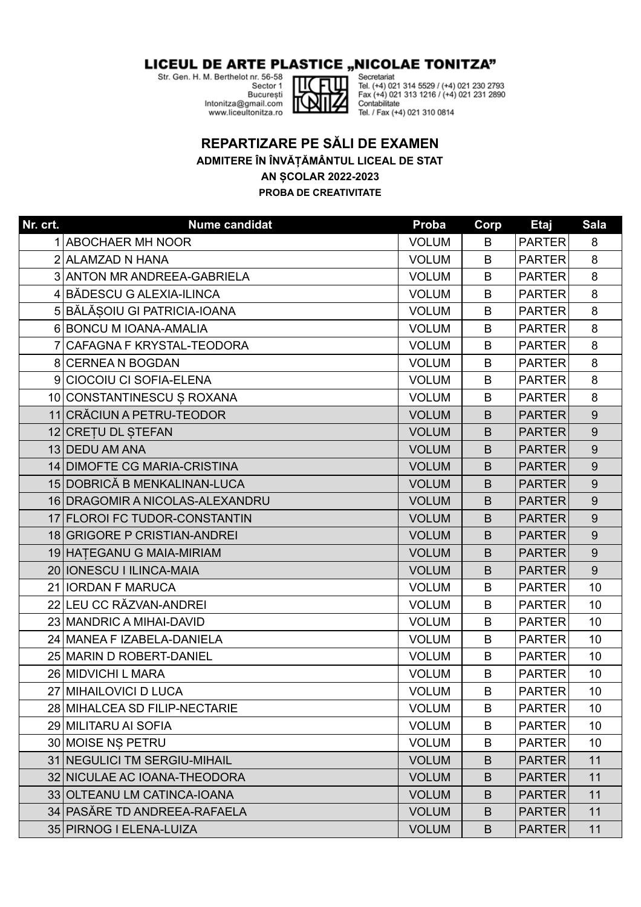## LICEUL DE ARTE PLASTICE "NICOLAE TONITZA"

Str. Gen. H. M. Berthelot nr. 56-58

Sector 1 **Bucuresti** Intonitza@gmail.com www.liceultonitza.ro



Secretariat Tel. (+4) 021 314 5529 / (+4) 021 230 2793 Fax (+4) 021 313 1216 / (+4) 021 231 2890 Contabilitate Tel. / Fax (+4) 021 310 0814

## **REPARTIZARE PE SĂLI DE EXAMEN ADMITERE ÎN ÎNVĂȚĂMÂNTUL LICEAL DE STAT AN ȘCOLAR 2022-2023 PROBA DE CREATIVITATE**

**Nr. crt. Nume candidat Proba Corp Etaj Sala** 1 ABOCHAER MH NOOR SAN BEER ALL AND THE SERVICE SERVICE SERVICE SERVICE SERVICE SERVICE SERVICE SERVICE SERVICE S ALAMZAD N HANA VOLUM B PARTER 8 3 ANTON MR ANDREEA-GABRIELA VOLUM | B PARTER 8 BĂDESCU G ALEXIA-ILINCA VOLUM B PARTER 8 5 BĂLĂȘOIU GI PATRICIA-IOANA VOLUM | B PARTER 8 BONCU M IOANA-AMALIA VOLUM B PARTER 8 CAFAGNA F KRYSTAL-TEODORA VOLUM B PARTER 8 CERNEA N BOGDAN VOLUM B PARTER 8 9 CIOCOIU CI SOFIA-ELENA VOLUM NOLUM BRITER | 8 10 CONSTANTINESCU S ROXANA VOLUM H VOLUM H B PARTER 8 CRĂCIUN A PETRU-TEODOR VOLUM B PARTER 9 12 CREȚU DL STEFAN VOLUM BILIPARTER DIN STEFAN VOLUM BILIPARTER DI 13 DEDU AM ANA VOLUM BRANTER II SOLUM BRANTER I SPOLUM BRANTER I SPOLUM BRANTER I SPOLUM BRANTER I SPOLUM BRAN DIMOFTE CG MARIA-CRISTINA VOLUM B PARTER 9 15 DOBRICĂ B MENKALINAN-LUCA UNITED SOLUM H B PARTER 9 DRAGOMIR A NICOLAS-ALEXANDRU VOLUM B PARTER 9 FLOROI FC TUDOR-CONSTANTIN VOLUM B PARTER 9 GRIGORE P CRISTIAN-ANDREI VOLUM B PARTER 9 HAȚEGANU G MAIA-MIRIAM VOLUM B PARTER 9 IONESCU I ILINCA-MAIA VOLUM B PARTER 9 IORDAN F MARUCA VOLUM B PARTER 10 LEU CC RĂZVAN-ANDREI VOLUM B PARTER 10 23 MANDRIC A MIHAI-DAVID 23 MANDRIC A MIHAI-DAVID MANEA F IZABELA-DANIELA VOLUM B PARTER 10 MARIN D ROBERT-DANIEL VOLUM B PARTER 10 MIDVICHI L MARA VOLUM B PARTER 10 MIHAILOVICI D LUCA VOLUM B PARTER 10 MIHALCEA SD FILIP-NECTARIE VOLUM B PARTER 10 MILITARU AI SOFIA VOLUM B PARTER 10 MOISE NȘ PETRU VOLUM B PARTER 10 31 NEGULICI TM SERGIU-MIHAIL **New York CONTACT OF ALC 11** VOLUM **B** PARTER 11 NICULAE AC IOANA-THEODORA VOLUM B PARTER 11 OLTEANU LM CATINCA-IOANA VOLUM B PARTER 11 PASĂRE TD ANDREEA-RAFAELA VOLUM B PARTER 11 PIRNOG I ELENA-LUIZA VOLUM B PARTER 11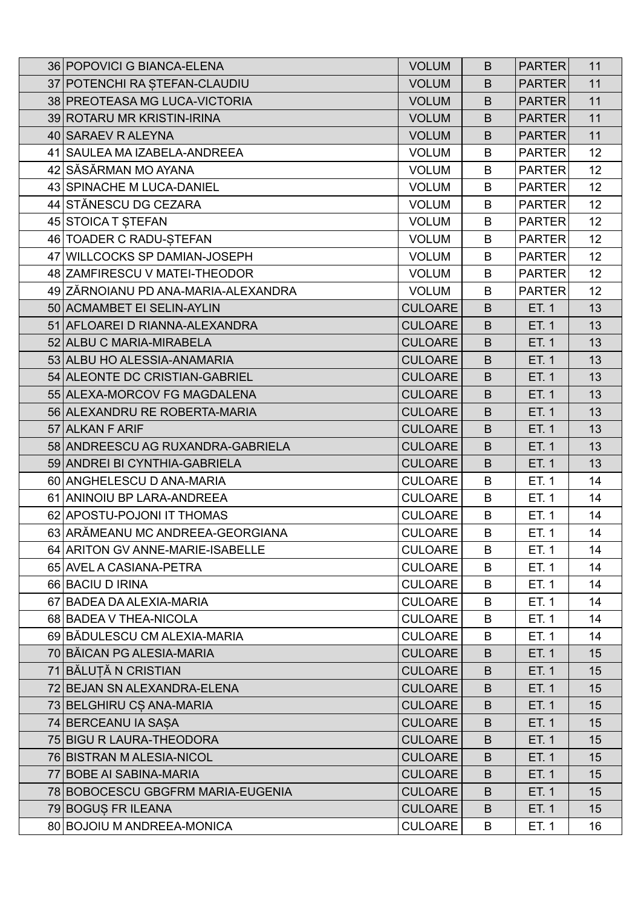| 36 POPOVICI G BIANCA-ELENA          | <b>VOLUM</b>   | B | <b>PARTER</b> | 11              |
|-------------------------------------|----------------|---|---------------|-----------------|
| 37 POTENCHI RA ȘTEFAN-CLAUDIU       | <b>VOLUM</b>   | B | <b>PARTER</b> | 11              |
| 38 PREOTEASA MG LUCA-VICTORIA       | <b>VOLUM</b>   | B | <b>PARTER</b> | 11              |
| 39 ROTARU MR KRISTIN-IRINA          | <b>VOLUM</b>   | B | <b>PARTER</b> | 11              |
| 40 SARAEV R ALEYNA                  | <b>VOLUM</b>   | B | <b>PARTER</b> | 11              |
| 41 SAULEA MA IZABELA-ANDREEA        | <b>VOLUM</b>   | B | <b>PARTER</b> | 12              |
| 42 SĂSĂRMAN MO AYANA                | <b>VOLUM</b>   | B | <b>PARTER</b> | 12 <sub>2</sub> |
| 43 SPINACHE M LUCA-DANIEL           | <b>VOLUM</b>   | B | <b>PARTER</b> | 12              |
| 44 STĂNESCU DG CEZARA               | <b>VOLUM</b>   | B | <b>PARTER</b> | 12              |
| 45 STOICA T ȘTEFAN                  | <b>VOLUM</b>   | B | <b>PARTER</b> | 12              |
| 46 TOADER C RADU-STEFAN             | <b>VOLUM</b>   | B | <b>PARTER</b> | 12              |
| 47 WILLCOCKS SP DAMIAN-JOSEPH       | <b>VOLUM</b>   | B | <b>PARTER</b> | 12              |
| 48 ZAMFIRESCU V MATEI-THEODOR       | <b>VOLUM</b>   | B | <b>PARTER</b> | 12 <sub>2</sub> |
| 49 ZĂRNOIANU PD ANA-MARIA-ALEXANDRA | <b>VOLUM</b>   | B | <b>PARTER</b> | 12              |
| 50 ACMAMBET EI SELIN-AYLIN          | <b>CULOARE</b> | B | ET. 1         | 13              |
| 51 AFLOAREI D RIANNA-ALEXANDRA      | <b>CULOARE</b> | B | ET. 1         | 13              |
| 52 ALBU C MARIA-MIRABELA            | <b>CULOARE</b> | B | ET. 1         | 13              |
| 53 ALBU HO ALESSIA-ANAMARIA         | <b>CULOARE</b> | B | ET. 1         | 13              |
| 54 ALEONTE DC CRISTIAN-GABRIEL      | <b>CULOARE</b> | B | ET. 1         | 13              |
| 55 ALEXA-MORCOV FG MAGDALENA        | <b>CULOARE</b> | B | ET. 1         | 13              |
| 56 ALEXANDRU RE ROBERTA-MARIA       | <b>CULOARE</b> | B | ET. 1         | 13              |
| 57 ALKAN F ARIF                     | <b>CULOARE</b> | B | ET. 1         | 13              |
| 58 ANDREESCU AG RUXANDRA-GABRIELA   | <b>CULOARE</b> | B | ET. 1         | 13              |
| 59 ANDREI BI CYNTHIA-GABRIELA       | <b>CULOARE</b> | B | ET. 1         | 13              |
| 60 ANGHELESCU D ANA-MARIA           | <b>CULOARE</b> | B | ET. 1         | 14              |
| 61 ANINOIU BP LARA-ANDREEA          | <b>CULOARE</b> | B | ET. 1         | 14              |
| 62 APOSTU-POJONI IT THOMAS          | <b>CULOARE</b> | B | ET. 1         | 14              |
| 63 ARĂMEANU MC ANDREEA-GEORGIANA    | <b>CULOARE</b> | B | ET. 1         | 14              |
| 64 ARITON GV ANNE-MARIE-ISABELLE    | <b>CULOARE</b> | B | ET. 1         | 14              |
| 65 AVEL A CASIANA-PETRA             | <b>CULOARE</b> | B | ET. 1         | 14              |
| 66 BACIU D IRINA                    | <b>CULOARE</b> | B | ET. 1         | 14              |
| 67 BADEA DA ALEXIA-MARIA            | <b>CULOARE</b> | B | ET. 1         | 14              |
| 68 BADEA V THEA-NICOLA              | <b>CULOARE</b> | B | ET. 1         | 14              |
| 69 BĂDULESCU CM ALEXIA-MARIA        | <b>CULOARE</b> | B | ET. 1         | 14              |
| 70 BĂICAN PG ALESIA-MARIA           | <b>CULOARE</b> | B | ET. 1         | 15              |
| 71 BĂLUȚĂ N CRISTIAN                | <b>CULOARE</b> | B | ET. 1         | 15              |
| 72 BEJAN SN ALEXANDRA-ELENA         | <b>CULOARE</b> | B | ET. 1         | 15              |
| 73 BELGHIRU CȘ ANA-MARIA            | <b>CULOARE</b> | B | ET. 1         | 15              |
| 74 BERCEANU IA SAȘA                 | <b>CULOARE</b> | B | ET. 1         | 15              |
| 75 BIGU R LAURA-THEODORA            | <b>CULOARE</b> | B | ET. 1         | 15              |
| 76 BISTRAN M ALESIA-NICOL           | <b>CULOARE</b> | B | ET. 1         | 15              |
| 77 BOBE AI SABINA-MARIA             | <b>CULOARE</b> | B | ET. 1         | 15              |
| 78 BOBOCESCU GBGFRM MARIA-EUGENIA   | <b>CULOARE</b> | B | ET. 1         | 15              |
| 79 BOGUS FR ILEANA                  | <b>CULOARE</b> | B | ET. 1         | 15              |
| 80 BOJOIU M ANDREEA-MONICA          | <b>CULOARE</b> | B | ET. 1         | 16              |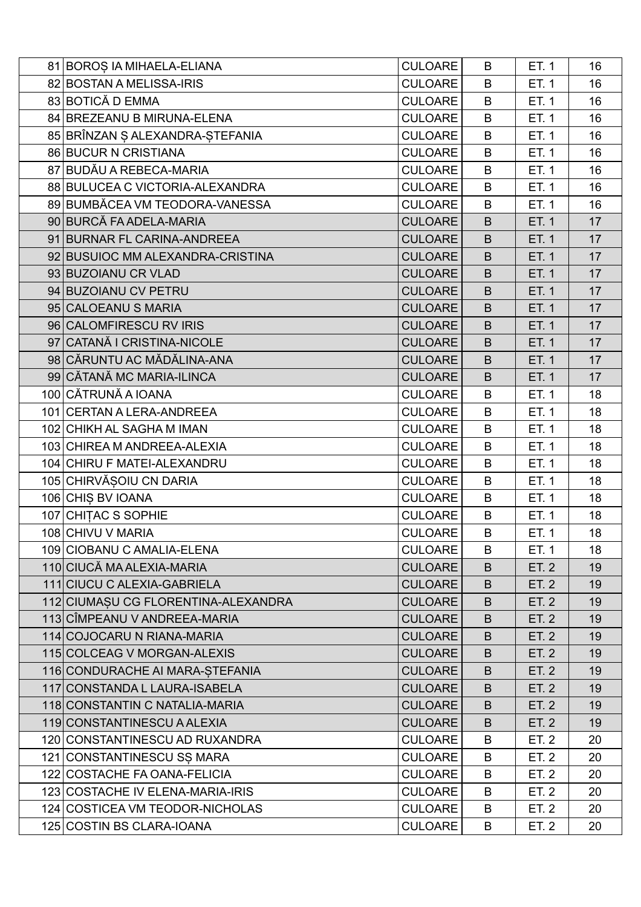| 81 BOROS IA MIHAELA-ELIANA          | <b>CULOARE</b> | B       | ET. 1 | 16 |
|-------------------------------------|----------------|---------|-------|----|
| 82 BOSTAN A MELISSA-IRIS            | <b>CULOARE</b> | B       | ET. 1 | 16 |
| 83 BOTICĂ D EMMA                    | <b>CULOARE</b> | B       | ET. 1 | 16 |
| 84 BREZEANU B MIRUNA-ELENA          | <b>CULOARE</b> | B       | ET. 1 | 16 |
| 85 BRÎNZAN Ş ALEXANDRA-ŞTEFANIA     | <b>CULOARE</b> | B       | ET. 1 | 16 |
| 86 BUCUR N CRISTIANA                | <b>CULOARE</b> | B       | ET. 1 | 16 |
| 87 BUDĂU A REBECA-MARIA             | <b>CULOARE</b> | B       | ET. 1 | 16 |
| 88 BULUCEA C VICTORIA-ALEXANDRA     | <b>CULOARE</b> | B       | ET. 1 | 16 |
| 89 BUMBĂCEA VM TEODORA-VANESSA      | <b>CULOARE</b> | B       | ET. 1 | 16 |
| 90 BURCĂ FA ADELA-MARIA             | <b>CULOARE</b> | $\sf B$ | ET. 1 | 17 |
| 91 BURNAR FL CARINA-ANDREEA         | <b>CULOARE</b> | B       | ET. 1 | 17 |
| 92 BUSUIOC MM ALEXANDRA-CRISTINA    | <b>CULOARE</b> | B       | ET. 1 | 17 |
| 93 BUZOIANU CR VLAD                 | <b>CULOARE</b> | $\sf B$ | ET. 1 | 17 |
| 94 BUZOIANU CV PETRU                | <b>CULOARE</b> | B       | ET. 1 | 17 |
| 95 CALOEANU S MARIA                 | <b>CULOARE</b> | B       | ET. 1 | 17 |
| 96 CALOMFIRESCU RV IRIS             | <b>CULOARE</b> | $\sf B$ | ET. 1 | 17 |
| 97 CATANĂ I CRISTINA-NICOLE         | <b>CULOARE</b> | B       | ET. 1 | 17 |
| 98 CĂRUNTU AC MĂDĂLINA-ANA          | <b>CULOARE</b> | B       | ET. 1 | 17 |
| 99 CĂTANĂ MC MARIA-ILINCA           | <b>CULOARE</b> | B       | ET. 1 | 17 |
| 100 CĂTRUNĂ A IOANA                 | <b>CULOARE</b> | B       | ET. 1 | 18 |
| 101 CERTAN A LERA-ANDREEA           | <b>CULOARE</b> | B       | ET. 1 | 18 |
| 102 CHIKH AL SAGHA M IMAN           | <b>CULOARE</b> | B       | ET. 1 | 18 |
| 103 CHIREA M ANDREEA-ALEXIA         | <b>CULOARE</b> | B       | ET. 1 | 18 |
| 104 CHIRU F MATEI-ALEXANDRU         | <b>CULOARE</b> | B       | ET. 1 | 18 |
| 105 CHIRVĂȘOIU CN DARIA             | <b>CULOARE</b> | B       | ET. 1 | 18 |
| 106 CHIȘ BV IOANA                   | <b>CULOARE</b> | B       | ET. 1 | 18 |
| 107 CHITAC S SOPHIE                 | <b>CULOARE</b> | B       | ET. 1 | 18 |
| 108 CHIVU V MARIA                   | <b>CULOARE</b> | B       | ET. 1 | 18 |
| 109 CIOBANU C AMALIA-ELENA          | <b>CULOARE</b> | B       | ET. 1 | 18 |
| 110 CIUCĂ MA ALEXIA-MARIA           | <b>CULOARE</b> | B       | ET. 2 | 19 |
| 111 CIUCU C ALEXIA-GABRIELA         | <b>CULOARE</b> | B       | ET. 2 | 19 |
| 112 CIUMAȘU CG FLORENTINA-ALEXANDRA | <b>CULOARE</b> | B       | ET. 2 | 19 |
| 113 CÎMPEANU V ANDREEA-MARIA        | <b>CULOARE</b> | B       | ET. 2 | 19 |
| 114 COJOCARU N RIANA-MARIA          | <b>CULOARE</b> | B       | ET. 2 | 19 |
| 115 COLCEAG V MORGAN-ALEXIS         | <b>CULOARE</b> | B       | ET. 2 | 19 |
| 116 CONDURACHE AI MARA-STEFANIA     | <b>CULOARE</b> | B       | ET. 2 | 19 |
| 117 CONSTANDA L LAURA-ISABELA       | <b>CULOARE</b> | B       | ET. 2 | 19 |
| 118 CONSTANTIN C NATALIA-MARIA      | <b>CULOARE</b> | B       | ET. 2 | 19 |
| 119 CONSTANTINESCU A ALEXIA         | <b>CULOARE</b> | B       | ET. 2 | 19 |
| 120 CONSTANTINESCU AD RUXANDRA      | <b>CULOARE</b> | B       | ET. 2 | 20 |
| 121 CONSTANTINESCU SS MARA          | <b>CULOARE</b> | B       | ET. 2 | 20 |
| 122 COSTACHE FA OANA-FELICIA        | <b>CULOARE</b> | B       | ET. 2 | 20 |
| 123 COSTACHE IV ELENA-MARIA-IRIS    | <b>CULOARE</b> | B       | ET. 2 | 20 |
| 124 COSTICEA VM TEODOR-NICHOLAS     | <b>CULOARE</b> | B       | ET. 2 | 20 |
| 125 COSTIN BS CLARA-IOANA           | <b>CULOARE</b> | B       | ET. 2 | 20 |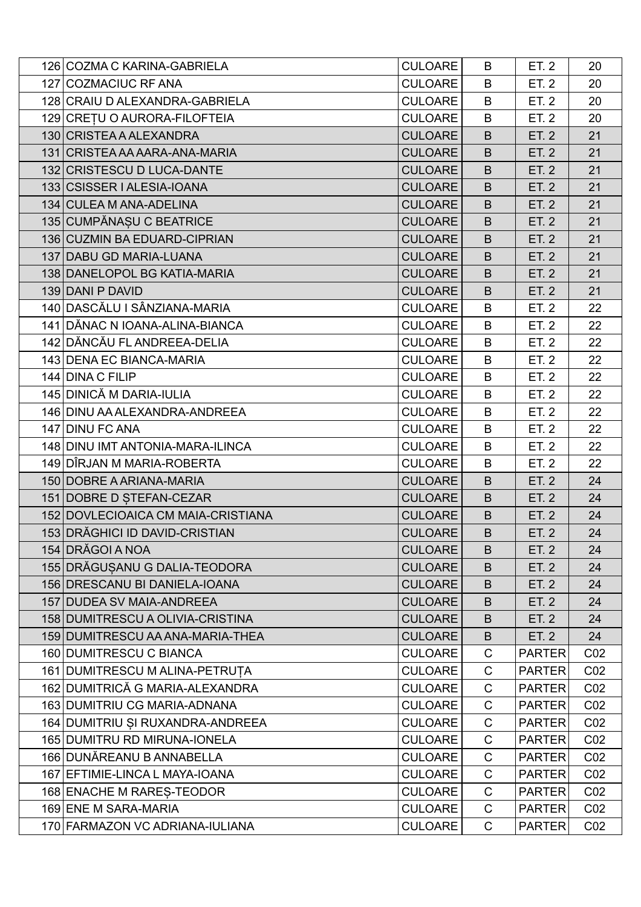| 126 COZMA C KARINA-GABRIELA        | <b>CULOARE</b> | B            | ET. 2         | 20              |
|------------------------------------|----------------|--------------|---------------|-----------------|
| 127 COZMACIUC RF ANA               | <b>CULOARE</b> | B            | ET. 2         | 20              |
| 128 CRAIU D ALEXANDRA-GABRIELA     | <b>CULOARE</b> | B            | ET. 2         | 20              |
| 129 CREȚU O AURORA-FILOFTEIA       | <b>CULOARE</b> | B            | ET. 2         | 20              |
| 130 CRISTEA A ALEXANDRA            | <b>CULOARE</b> | B            | <b>ET. 2</b>  | 21              |
| 131 CRISTEA AA AARA-ANA-MARIA      | <b>CULOARE</b> | B            | <b>ET. 2</b>  | 21              |
| 132 CRISTESCU D LUCA-DANTE         | <b>CULOARE</b> | B            | ET. 2         | 21              |
| 133 CSISSER   ALESIA-IOANA         | <b>CULOARE</b> | B            | ET. 2         | 21              |
| 134 CULEA M ANA-ADELINA            | <b>CULOARE</b> | B            | <b>ET. 2</b>  | 21              |
| 135 CUMPĂNAȘU C BEATRICE           | <b>CULOARE</b> | B            | ET. 2         | 21              |
| 136 CUZMIN BA EDUARD-CIPRIAN       | <b>CULOARE</b> | B            | <b>ET. 2</b>  | 21              |
| 137 DABU GD MARIA-LUANA            | <b>CULOARE</b> | B            | <b>ET. 2</b>  | 21              |
| 138 DANELOPOL BG KATIA-MARIA       | <b>CULOARE</b> | B            | <b>ET. 2</b>  | 21              |
| 139 DANI P DAVID                   | <b>CULOARE</b> | B            | <b>ET. 2</b>  | 21              |
| 140 DASCĂLU I SÂNZIANA-MARIA       | <b>CULOARE</b> | B            | ET. 2         | 22              |
| 141 DĂNAC N IOANA-ALINA-BIANCA     | <b>CULOARE</b> | B            | ET. 2         | 22              |
| 142 DĂNCĂU FL ANDREEA-DELIA        | <b>CULOARE</b> | B            | ET. 2         | 22              |
| 143 DENA EC BIANCA-MARIA           | <b>CULOARE</b> | B            | ET. 2         | 22              |
| 144 DINA C FILIP                   | <b>CULOARE</b> | B            | ET. 2         | 22              |
| 145 DINICĂ M DARIA-IULIA           | <b>CULOARE</b> | B            | ET. 2         | 22              |
| 146 DINU AA ALEXANDRA-ANDREEA      | <b>CULOARE</b> | B            | ET. 2         | 22              |
| 147 DINU FC ANA                    | <b>CULOARE</b> | B            | ET. 2         | 22              |
| 148 DINU IMT ANTONIA-MARA-ILINCA   | <b>CULOARE</b> | B            | ET. 2         | 22              |
| 149 DÎRJAN M MARIA-ROBERTA         | <b>CULOARE</b> | B            | ET. 2         | 22              |
| 150 DOBRE A ARIANA-MARIA           | <b>CULOARE</b> | B            | ET. 2         | 24              |
| 151 DOBRE D STEFAN-CEZAR           | <b>CULOARE</b> | B            | <b>ET. 2</b>  | 24              |
| 152 DOVLECIOAICA CM MAIA-CRISTIANA | <b>CULOARE</b> | B            | <b>ET. 2</b>  | 24              |
| 153 DRĂGHICI ID DAVID-CRISTIAN     | <b>CULOARE</b> | B            | ET. 2         | 24              |
| 154 DRĂGOI A NOA                   | <b>CULOARE</b> | B            | ET. 2         | 24              |
| 155 DRĂGUȘANU G DALIA-TEODORA      | <b>CULOARE</b> | B            | ET. 2         | 24              |
| 156 DRESCANU BI DANIELA-IOANA      | <b>CULOARE</b> | B            | ET. 2         | 24              |
| 157 DUDEA SV MAIA-ANDREEA          | <b>CULOARE</b> | B            | ET. 2         | 24              |
| 158 DUMITRESCU A OLIVIA-CRISTINA   | <b>CULOARE</b> | B            | ET. 2         | 24              |
| 159 DUMITRESCU AA ANA-MARIA-THEA   | <b>CULOARE</b> | B            | ET. 2         | 24              |
| 160 DUMITRESCU C BIANCA            | <b>CULOARE</b> | C            | <b>PARTER</b> | CO <sub>2</sub> |
| 161 DUMITRESCU M ALINA-PETRUȚA     | <b>CULOARE</b> | $\mathsf C$  | <b>PARTER</b> | CO <sub>2</sub> |
| 162 DUMITRICĂ G MARIA-ALEXANDRA    | <b>CULOARE</b> | C            | <b>PARTER</b> | CO <sub>2</sub> |
| 163 DUMITRIU CG MARIA-ADNANA       | <b>CULOARE</b> | C            | <b>PARTER</b> | CO <sub>2</sub> |
| 164 DUMITRIU ȘI RUXANDRA-ANDREEA   | <b>CULOARE</b> | C            | <b>PARTER</b> | CO <sub>2</sub> |
| 165 DUMITRU RD MIRUNA-IONELA       | <b>CULOARE</b> | C            | <b>PARTER</b> | CO <sub>2</sub> |
| 166 DUNĂREANU B ANNABELLA          | <b>CULOARE</b> | C            | <b>PARTER</b> | CO <sub>2</sub> |
| 167 EFTIMIE-LINCA L MAYA-IOANA     | <b>CULOARE</b> | $\mathsf{C}$ | <b>PARTER</b> | CO <sub>2</sub> |
| 168 ENACHE M RARES-TEODOR          | <b>CULOARE</b> | C            | <b>PARTER</b> | CO <sub>2</sub> |
| 169 ENE M SARA-MARIA               | <b>CULOARE</b> | C            | <b>PARTER</b> | CO <sub>2</sub> |
| 170 FARMAZON VC ADRIANA-IULIANA    | <b>CULOARE</b> | $\mathsf{C}$ | <b>PARTER</b> | CO <sub>2</sub> |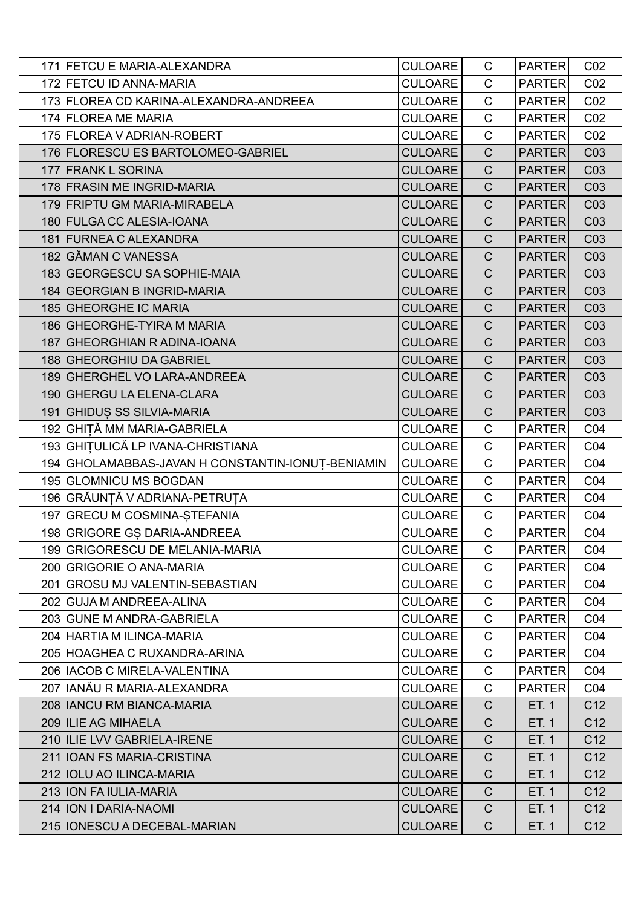| 171 FETCU E MARIA-ALEXANDRA                       | <b>CULOARE</b> | C            | <b>PARTER</b> | CO <sub>2</sub> |
|---------------------------------------------------|----------------|--------------|---------------|-----------------|
| 172 FETCU ID ANNA-MARIA                           | <b>CULOARE</b> | $\mathsf{C}$ | <b>PARTER</b> | CO <sub>2</sub> |
| 173 FLOREA CD KARINA-ALEXANDRA-ANDREEA            | <b>CULOARE</b> | $\mathsf{C}$ | <b>PARTER</b> | CO <sub>2</sub> |
| 174 FLOREA ME MARIA                               | <b>CULOARE</b> | $\mathsf C$  | <b>PARTER</b> | CO <sub>2</sub> |
| 175 FLOREA V ADRIAN-ROBERT                        | <b>CULOARE</b> | $\mathsf{C}$ | <b>PARTER</b> | CO <sub>2</sub> |
| 176 FLORESCU ES BARTOLOMEO-GABRIEL                | <b>CULOARE</b> | $\mathsf{C}$ | <b>PARTER</b> | C <sub>03</sub> |
| 177 FRANK L SORINA                                | <b>CULOARE</b> | $\mathsf C$  | <b>PARTER</b> | C <sub>03</sub> |
| 178 FRASIN ME INGRID-MARIA                        | <b>CULOARE</b> | $\mathsf{C}$ | <b>PARTER</b> | C <sub>03</sub> |
| 179 FRIPTU GM MARIA-MIRABELA                      | <b>CULOARE</b> | $\mathsf{C}$ | <b>PARTER</b> | C <sub>03</sub> |
| 180 FULGA CC ALESIA-IOANA                         | <b>CULOARE</b> | $\mathbf C$  | <b>PARTER</b> | C <sub>03</sub> |
| 181 FURNEA C ALEXANDRA                            | <b>CULOARE</b> | $\mathsf C$  | <b>PARTER</b> | C <sub>03</sub> |
| 182 GĂMAN C VANESSA                               | <b>CULOARE</b> | $\mathsf{C}$ | <b>PARTER</b> | C <sub>03</sub> |
| 183 GEORGESCU SA SOPHIE-MAIA                      | <b>CULOARE</b> | $\mathbf C$  | <b>PARTER</b> | C <sub>03</sub> |
| 184 GEORGIAN B INGRID-MARIA                       | <b>CULOARE</b> | $\mathsf C$  | <b>PARTER</b> | C <sub>03</sub> |
| 185 GHEORGHE IC MARIA                             | <b>CULOARE</b> | $\mathsf{C}$ | <b>PARTER</b> | C <sub>03</sub> |
| 186 GHEORGHE-TYIRA M MARIA                        | <b>CULOARE</b> | $\mathsf C$  | <b>PARTER</b> | C <sub>03</sub> |
| 187 GHEORGHIAN R ADINA-IOANA                      | <b>CULOARE</b> | $\mathsf C$  | <b>PARTER</b> | C <sub>03</sub> |
| 188 GHEORGHIU DA GABRIEL                          | <b>CULOARE</b> | $\mathsf{C}$ | <b>PARTER</b> | C <sub>03</sub> |
| 189 GHERGHEL VO LARA-ANDREEA                      | <b>CULOARE</b> | $\mathsf C$  | <b>PARTER</b> | C <sub>03</sub> |
| 190 GHERGU LA ELENA-CLARA                         | <b>CULOARE</b> | $\mathsf C$  | <b>PARTER</b> | C <sub>03</sub> |
| 191 GHIDUS SS SILVIA-MARIA                        | <b>CULOARE</b> | $\mathsf{C}$ | <b>PARTER</b> | C <sub>03</sub> |
| 192 GHIȚĂ MM MARIA-GABRIELA                       | <b>CULOARE</b> | $\mathsf C$  | <b>PARTER</b> | CO <sub>4</sub> |
| 193 GHITULICĂ LP IVANA-CHRISTIANA                 | <b>CULOARE</b> | $\mathsf{C}$ | <b>PARTER</b> | CO <sub>4</sub> |
| 194 GHOLAMABBAS-JAVAN H CONSTANTIN-IONUT-BENIAMIN | <b>CULOARE</b> | $\mathsf C$  | <b>PARTER</b> | CO <sub>4</sub> |
| 195 GLOMNICU MS BOGDAN                            | <b>CULOARE</b> | $\mathsf C$  | <b>PARTER</b> | CO <sub>4</sub> |
| 196 GRĂUNȚĂ V ADRIANA-PETRUȚA                     | <b>CULOARE</b> | $\mathsf{C}$ | <b>PARTER</b> | CO <sub>4</sub> |
| 197 GRECU M COSMINA-STEFANIA                      | <b>CULOARE</b> | $\mathsf{C}$ | <b>PARTER</b> | CO <sub>4</sub> |
| 198 GRIGORE GS DARIA-ANDREEA                      | <b>CULOARE</b> | $\mathsf{C}$ | <b>PARTER</b> | CO <sub>4</sub> |
| 199 GRIGORESCU DE MELANIA-MARIA                   | <b>CULOARE</b> | C            | <b>PARTER</b> | CO <sub>4</sub> |
| 200 GRIGORIE O ANA-MARIA                          | <b>CULOARE</b> | C            | <b>PARTER</b> | CO <sub>4</sub> |
| 201 GROSU MJ VALENTIN-SEBASTIAN                   | <b>CULOARE</b> | C            | <b>PARTER</b> | CO <sub>4</sub> |
| 202 GUJA M ANDREEA-ALINA                          | <b>CULOARE</b> | $\mathsf{C}$ | <b>PARTER</b> | CO <sub>4</sub> |
| 203 GUNE M ANDRA-GABRIELA                         | <b>CULOARE</b> | $\mathsf C$  | <b>PARTER</b> | CO <sub>4</sub> |
| 204 HARTIA M ILINCA-MARIA                         | <b>CULOARE</b> | C            | <b>PARTER</b> | CO <sub>4</sub> |
| 205 HOAGHEA C RUXANDRA-ARINA                      | <b>CULOARE</b> | C            | <b>PARTER</b> | CO <sub>4</sub> |
| 206 IACOB C MIRELA-VALENTINA                      | <b>CULOARE</b> | $\mathsf C$  | <b>PARTER</b> | CO <sub>4</sub> |
| 207 IANĂU R MARIA-ALEXANDRA                       | <b>CULOARE</b> | C            | <b>PARTER</b> | CO <sub>4</sub> |
| 208 IANCU RM BIANCA-MARIA                         | <b>CULOARE</b> | $\mathsf{C}$ | ET. 1         | C <sub>12</sub> |
| 209 ILIE AG MIHAELA                               | <b>CULOARE</b> | $\mathsf{C}$ | ET. 1         | C <sub>12</sub> |
| 210 ILIE LVV GABRIELA-IRENE                       | <b>CULOARE</b> | $\mathsf{C}$ | ET. 1         | C <sub>12</sub> |
| 211 IOAN FS MARIA-CRISTINA                        | <b>CULOARE</b> | $\mathsf{C}$ | ET. 1         | C <sub>12</sub> |
| 212 IOLU AO ILINCA-MARIA                          | <b>CULOARE</b> | $\mathsf{C}$ | ET. 1         | C <sub>12</sub> |
| 213 ION FAIULIA-MARIA                             | <b>CULOARE</b> | $\mathsf{C}$ | ET. 1         | C <sub>12</sub> |
| 214 ION I DARIA-NAOMI                             | <b>CULOARE</b> | $\mathsf{C}$ | ET. 1         | C <sub>12</sub> |
| 215 IONESCU A DECEBAL-MARIAN                      | <b>CULOARE</b> | $\mathsf{C}$ | ET. 1         | C <sub>12</sub> |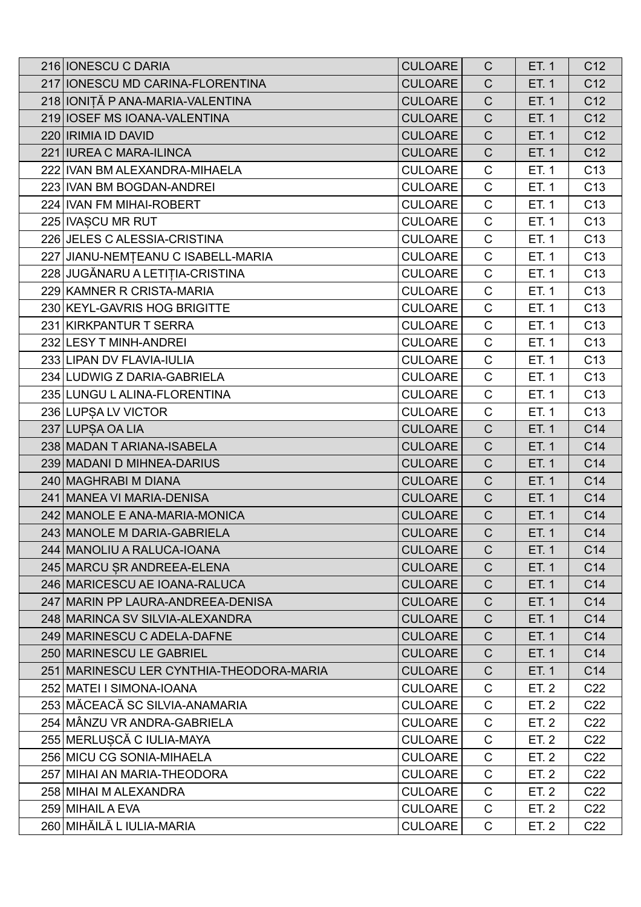| 216 IONESCU C DARIA                      | <b>CULOARE</b> | $\mathsf{C}$ | ET. 1 | C <sub>12</sub> |
|------------------------------------------|----------------|--------------|-------|-----------------|
| 217 IONESCU MD CARINA-FLORENTINA         | <b>CULOARE</b> | $\mathsf C$  | ET. 1 | C <sub>12</sub> |
| 218 IONIȚĂ P ANA-MARIA-VALENTINA         | <b>CULOARE</b> | $\mathsf C$  | ET. 1 | C <sub>12</sub> |
| 219 IOSEF MS IOANA-VALENTINA             | <b>CULOARE</b> | $\mathsf C$  | ET. 1 | C12             |
| 220   IRIMIA ID DAVID                    | <b>CULOARE</b> | $\mathsf{C}$ | ET. 1 | C <sub>12</sub> |
| 221 IUREA C MARA-ILINCA                  | <b>CULOARE</b> | $\mathsf{C}$ | ET. 1 | C12             |
| 222 IVAN BM ALEXANDRA-MIHAELA            | <b>CULOARE</b> | $\mathsf C$  | ET. 1 | C <sub>13</sub> |
| 223 IVAN BM BOGDAN-ANDREI                | <b>CULOARE</b> | $\mathsf C$  | ET. 1 | C <sub>13</sub> |
| 224 IVAN FM MIHAI-ROBERT                 | <b>CULOARE</b> | $\mathsf{C}$ | ET. 1 | C <sub>13</sub> |
| 225 IVAȘCU MR RUT                        | <b>CULOARE</b> | $\mathsf C$  | ET. 1 | C <sub>13</sub> |
| 226 JELES C ALESSIA-CRISTINA             | <b>CULOARE</b> | $\mathsf C$  | ET. 1 | C <sub>13</sub> |
| 227 JIANU-NEMȚEANU C ISABELL-MARIA       | <b>CULOARE</b> | $\mathsf C$  | ET. 1 | C <sub>13</sub> |
| 228 JUGĂNARU A LETIȚIA-CRISTINA          | <b>CULOARE</b> | $\mathsf C$  | ET. 1 | C <sub>13</sub> |
| 229 KAMNER R CRISTA-MARIA                | <b>CULOARE</b> | $\mathsf C$  | ET. 1 | C <sub>13</sub> |
| 230 KEYL-GAVRIS HOG BRIGITTE             | <b>CULOARE</b> | $\mathsf{C}$ | ET. 1 | C <sub>13</sub> |
| 231 KIRKPANTUR T SERRA                   | <b>CULOARE</b> | $\mathsf C$  | ET. 1 | C <sub>13</sub> |
| 232 LESY T MINH-ANDREI                   | <b>CULOARE</b> | $\mathsf C$  | ET. 1 | C <sub>13</sub> |
| 233 LIPAN DV FLAVIA-IULIA                | <b>CULOARE</b> | $\mathsf{C}$ | ET. 1 | C <sub>13</sub> |
| 234 LUDWIG Z DARIA-GABRIELA              | <b>CULOARE</b> | $\mathsf{C}$ | ET. 1 | C <sub>13</sub> |
| 235 LUNGU L ALINA-FLORENTINA             | <b>CULOARE</b> | $\mathsf C$  | ET. 1 | C <sub>13</sub> |
| 236 LUPSA LV VICTOR                      | <b>CULOARE</b> | $\mathsf{C}$ | ET. 1 | C <sub>13</sub> |
| 237 LUPSA OA LIA                         | <b>CULOARE</b> | $\mathsf{C}$ | ET. 1 | C14             |
| 238 MADAN T ARIANA-ISABELA               | <b>CULOARE</b> | $\mathsf{C}$ | ET. 1 | C <sub>14</sub> |
| 239 MADANI D MIHNEA-DARIUS               | <b>CULOARE</b> | $\mathsf C$  | ET. 1 | C14             |
| 240 MAGHRABI M DIANA                     | <b>CULOARE</b> | $\mathsf{C}$ | ET. 1 | C14             |
| 241 MANEA VI MARIA-DENISA                | <b>CULOARE</b> | $\mathsf C$  | ET. 1 | C14             |
| 242 MANOLE E ANA-MARIA-MONICA            | <b>CULOARE</b> | $\mathsf C$  | ET. 1 | C <sub>14</sub> |
| 243 MANOLE M DARIA-GABRIELA              | <b>CULOARE</b> | $\mathsf C$  | ET. 1 | C14             |
| 244 MANOLIU A RALUCA-IOANA               | <b>CULOARE</b> | C            | ET. 1 | C14             |
| 245 MARCU SR ANDREEA-ELENA               | <b>CULOARE</b> | $\mathsf{C}$ | ET. 1 | C14             |
| 246 MARICESCU AE IOANA-RALUCA            | <b>CULOARE</b> | $\mathsf{C}$ | ET. 1 | C14             |
| 247 MARIN PP LAURA-ANDREEA-DENISA        | <b>CULOARE</b> | $\mathsf{C}$ | ET. 1 | C <sub>14</sub> |
| 248 MARINCA SV SILVIA-ALEXANDRA          | <b>CULOARE</b> | $\mathsf{C}$ | ET. 1 | C14             |
| 249 MARINESCU C ADELA-DAFNE              | <b>CULOARE</b> | $\mathsf{C}$ | ET. 1 | C14             |
| 250 MARINESCU LE GABRIEL                 | <b>CULOARE</b> | $\mathsf{C}$ | ET. 1 | C <sub>14</sub> |
| 251 MARINESCU LER CYNTHIA-THEODORA-MARIA | <b>CULOARE</b> | $\mathsf{C}$ | ET. 1 | C14             |
| 252 MATEI I SIMONA-IOANA                 | <b>CULOARE</b> | C            | ET. 2 | C <sub>22</sub> |
| 253 MĂCEACĂ SC SILVIA-ANAMARIA           | <b>CULOARE</b> | $\mathsf C$  | ET. 2 | C <sub>22</sub> |
| 254 MÂNZU VR ANDRA-GABRIELA              | <b>CULOARE</b> | $\mathsf C$  | ET. 2 | C <sub>22</sub> |
| 255 MERLUȘCĂ C IULIA-MAYA                | <b>CULOARE</b> | $\mathsf C$  | ET. 2 | C <sub>22</sub> |
| 256 MICU CG SONIA-MIHAELA                | <b>CULOARE</b> | C            | ET. 2 | C <sub>22</sub> |
| 257 MIHAI AN MARIA-THEODORA              | <b>CULOARE</b> | $\mathsf C$  | ET. 2 | C <sub>22</sub> |
| 258 MIHAI M ALEXANDRA                    | <b>CULOARE</b> | $\mathsf C$  | ET. 2 | C <sub>22</sub> |
| 259 MIHAIL A EVA                         | <b>CULOARE</b> | $\mathsf C$  | ET. 2 | C <sub>22</sub> |
| 260 MIHĂILĂ L IULIA-MARIA                | <b>CULOARE</b> | $\mathsf{C}$ | ET. 2 | C <sub>22</sub> |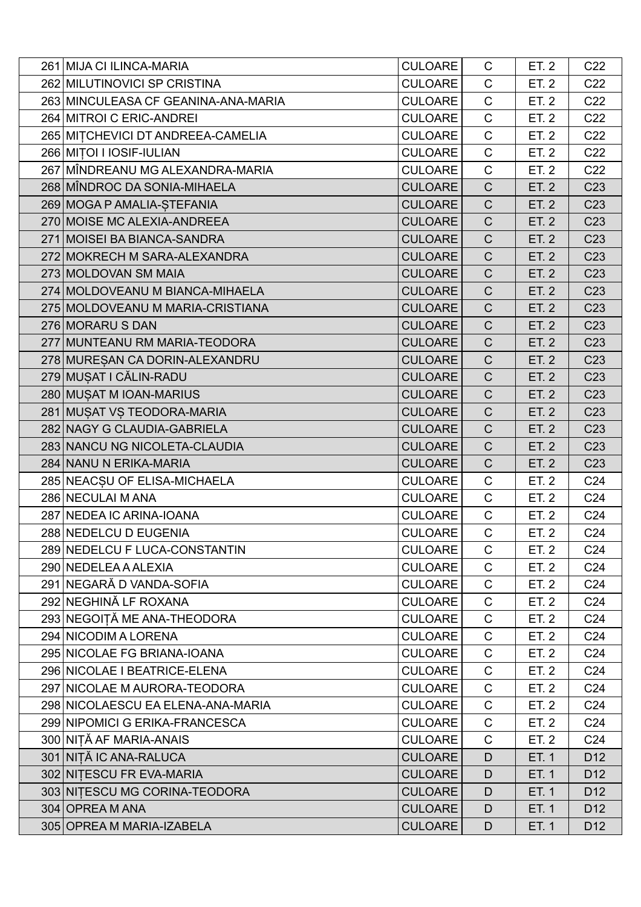| 261 MIJA CI ILINCA-MARIA            | <b>CULOARE</b> | C              | ET. 2        | C <sub>22</sub> |
|-------------------------------------|----------------|----------------|--------------|-----------------|
| 262 MILUTINOVICI SP CRISTINA        | <b>CULOARE</b> | $\mathsf{C}$   | ET. 2        | C <sub>22</sub> |
| 263 MINCULEASA CF GEANINA-ANA-MARIA | <b>CULOARE</b> | $\mathsf{C}$   | ET. 2        | C <sub>22</sub> |
| 264 MITROI C ERIC-ANDREI            | <b>CULOARE</b> | $\mathsf{C}$   | ET. 2        | C <sub>22</sub> |
| 265 MITCHEVICI DT ANDREEA-CAMELIA   | <b>CULOARE</b> | $\mathsf{C}$   | ET. 2        | C <sub>22</sub> |
| 266 MITOI I IOSIF-IULIAN            | <b>CULOARE</b> | $\mathsf{C}$   | ET. 2        | C <sub>22</sub> |
| 267 MÎNDREANU MG ALEXANDRA-MARIA    | <b>CULOARE</b> | $\mathsf C$    | ET. 2        | C <sub>22</sub> |
| 268 MÎNDROC DA SONIA-MIHAELA        | <b>CULOARE</b> | $\mathsf C$    | ET. 2        | C <sub>23</sub> |
| 269 MOGA P AMALIA-STEFANIA          | <b>CULOARE</b> | $\mathsf C$    | <b>ET. 2</b> | C <sub>23</sub> |
| 270 MOISE MC ALEXIA-ANDREEA         | <b>CULOARE</b> | $\mathsf C$    | ET. 2        | C <sub>23</sub> |
| 271 MOISEI BA BIANCA-SANDRA         | <b>CULOARE</b> | $\overline{C}$ | <b>ET. 2</b> | C <sub>23</sub> |
| 272 MOKRECH M SARA-ALEXANDRA        | <b>CULOARE</b> | $\mathsf C$    | <b>ET. 2</b> | C <sub>23</sub> |
| 273 MOLDOVAN SM MAIA                | <b>CULOARE</b> | $\mathsf C$    | ET. 2        | C <sub>23</sub> |
| 274 MOLDOVEANU M BIANCA-MIHAELA     | <b>CULOARE</b> | $\overline{C}$ | ET. 2        | C <sub>23</sub> |
| 275 MOLDOVEANU M MARIA-CRISTIANA    | <b>CULOARE</b> | $\mathsf{C}$   | ET. 2        | C <sub>23</sub> |
| 276 MORARU S DAN                    | <b>CULOARE</b> | $\mathsf C$    | ET. 2        | C <sub>23</sub> |
| 277 MUNTEANU RM MARIA-TEODORA       | <b>CULOARE</b> | $\overline{C}$ | ET. 2        | C <sub>23</sub> |
| 278 MURESAN CA DORIN-ALEXANDRU      | <b>CULOARE</b> | $\mathsf{C}$   | ET. 2        | C <sub>23</sub> |
| 279 MUȘAT I CĂLIN-RADU              | <b>CULOARE</b> | $\mathsf C$    | ET. 2        | C <sub>23</sub> |
| 280 MUSAT M IOAN-MARIUS             | <b>CULOARE</b> | $\mathsf C$    | ET. 2        | C <sub>23</sub> |
| 281 MUŞAT VŞ TEODORA-MARIA          | <b>CULOARE</b> | $\mathsf{C}$   | ET. 2        | C <sub>23</sub> |
| 282 NAGY G CLAUDIA-GABRIELA         | <b>CULOARE</b> | $\mathsf C$    | ET. 2        | C <sub>23</sub> |
| 283 NANCU NG NICOLETA-CLAUDIA       | <b>CULOARE</b> | $\overline{C}$ | <b>ET. 2</b> | C <sub>23</sub> |
| 284 NANU N ERIKA-MARIA              | <b>CULOARE</b> | $\mathsf C$    | ET. 2        | C <sub>23</sub> |
| 285 NEACSU OF ELISA-MICHAELA        | <b>CULOARE</b> | $\mathsf C$    | ET. 2        | C <sub>24</sub> |
| 286 NECULAI M ANA                   | <b>CULOARE</b> | $\mathsf{C}$   | ET. 2        | C <sub>24</sub> |
| 287 NEDEA IC ARINA-IOANA            | <b>CULOARE</b> | $\mathsf{C}$   | ET. 2        | C <sub>24</sub> |
| 288 NEDELCU D EUGENIA               | <b>CULOARE</b> | $\mathsf{C}$   | ET. 2        | C <sub>24</sub> |
| 289 NEDELCU F LUCA-CONSTANTIN       | <b>CULOARE</b> | C              | ET. 2        | C <sub>24</sub> |
| 290 NEDELEA A ALEXIA                | <b>CULOARE</b> | $\mathsf{C}$   | ET. 2        | C <sub>24</sub> |
| 291 NEGARĂ D VANDA-SOFIA            | <b>CULOARE</b> | $\mathsf C$    | ET. 2        | C <sub>24</sub> |
| 292 NEGHINĂ LF ROXANA               | <b>CULOARE</b> | C              | ET. 2        | C <sub>24</sub> |
| 293 NEGOIȚĂ ME ANA-THEODORA         | <b>CULOARE</b> | $\mathsf{C}$   | ET. 2        | C <sub>24</sub> |
| 294 NICODIM A LORENA                | <b>CULOARE</b> | $\mathsf C$    | ET. 2        | C <sub>24</sub> |
| 295 NICOLAE FG BRIANA-IOANA         | <b>CULOARE</b> | C              | ET. 2        | C <sub>24</sub> |
| 296 NICOLAE I BEATRICE-ELENA        | <b>CULOARE</b> | $\mathsf{C}$   | ET. 2        | C <sub>24</sub> |
| 297 NICOLAE M AURORA-TEODORA        | <b>CULOARE</b> | $\mathsf C$    | ET. 2        | C <sub>24</sub> |
| 298 NICOLAESCU EA ELENA-ANA-MARIA   | <b>CULOARE</b> | C              | ET. 2        | C <sub>24</sub> |
| 299 NIPOMICI G ERIKA-FRANCESCA      | <b>CULOARE</b> | $\mathsf{C}$   | ET. 2        | C <sub>24</sub> |
| 300 NIȚĂ AF MARIA-ANAIS             | <b>CULOARE</b> | $\mathsf{C}$   | ET. 2        | C <sub>24</sub> |
| 301 NIȚĂ IC ANA-RALUCA              | <b>CULOARE</b> | D              | ET. 1        | D <sub>12</sub> |
| 302 NITESCU FR EVA-MARIA            | <b>CULOARE</b> | D              | ET. 1        | D <sub>12</sub> |
| 303 NITESCU MG CORINA-TEODORA       | <b>CULOARE</b> | D              | ET. 1        | D <sub>12</sub> |
| 304 OPREA M ANA                     | <b>CULOARE</b> | D              | ET. 1        | D <sub>12</sub> |
| 305 OPREA M MARIA-IZABELA           | <b>CULOARE</b> | D              | ET. 1        | D <sub>12</sub> |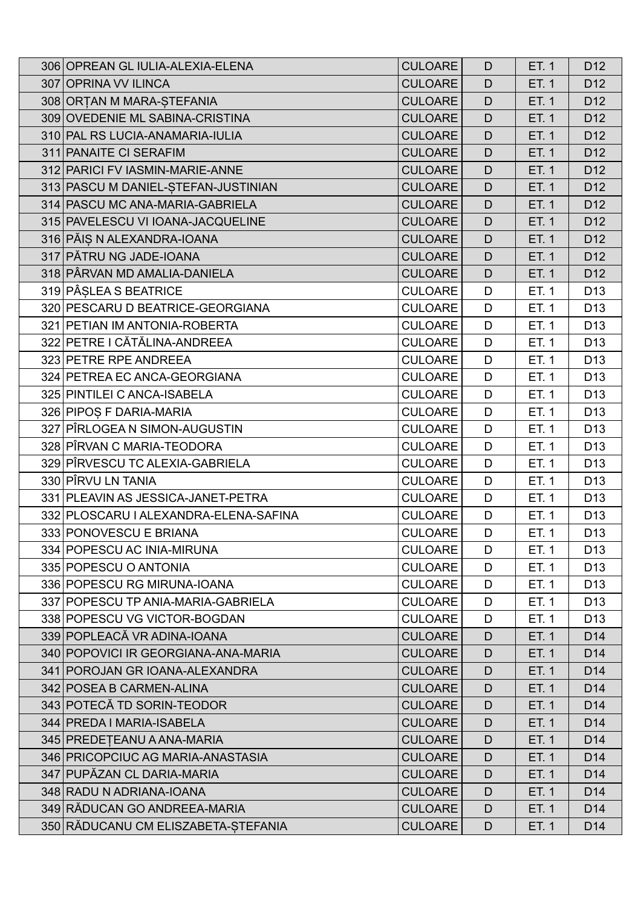| 306 OPREAN GL IULIA-ALEXIA-ELENA      | <b>CULOARE</b> | D            | ET. 1 | D <sub>12</sub> |
|---------------------------------------|----------------|--------------|-------|-----------------|
| 307 OPRINA VV ILINCA                  | <b>CULOARE</b> | D            | ET. 1 | D <sub>12</sub> |
| 308 ORTAN M MARA-STEFANIA             | <b>CULOARE</b> | D            | ET. 1 | D <sub>12</sub> |
| 309 OVEDENIE ML SABINA-CRISTINA       | <b>CULOARE</b> | D            | ET. 1 | D <sub>12</sub> |
| 310 PAL RS LUCIA-ANAMARIA-IULIA       | <b>CULOARE</b> | D            | ET. 1 | D <sub>12</sub> |
| 311 PANAITE CI SERAFIM                | <b>CULOARE</b> | D            | ET. 1 | D <sub>12</sub> |
| 312 PARICI FV IASMIN-MARIE-ANNE       | <b>CULOARE</b> | D            | ET. 1 | D <sub>12</sub> |
| 313 PASCU M DANIEL-STEFAN-JUSTINIAN   | <b>CULOARE</b> | D            | ET. 1 | D <sub>12</sub> |
| 314 PASCU MC ANA-MARIA-GABRIELA       | <b>CULOARE</b> | $\mathsf{D}$ | ET. 1 | D <sub>12</sub> |
| 315 PAVELESCU VI IOANA-JACQUELINE     | <b>CULOARE</b> | D            | ET. 1 | D <sub>12</sub> |
| 316 PĂIȘ N ALEXANDRA-IOANA            | <b>CULOARE</b> | D            | ET. 1 | D <sub>12</sub> |
| 317 PĂTRU NG JADE-IOANA               | <b>CULOARE</b> | D            | ET. 1 | D <sub>12</sub> |
| 318 PÂRVAN MD AMALIA-DANIELA          | <b>CULOARE</b> | D            | ET. 1 | D <sub>12</sub> |
| 319 PÂȘLEA S BEATRICE                 | <b>CULOARE</b> | D            | ET. 1 | D <sub>13</sub> |
| 320 PESCARU D BEATRICE-GEORGIANA      | <b>CULOARE</b> | D            | ET. 1 | D <sub>13</sub> |
| 321 PETIAN IM ANTONIA-ROBERTA         | <b>CULOARE</b> | D            | ET. 1 | D <sub>13</sub> |
| 322 PETRE I CĂTĂLINA-ANDREEA          | <b>CULOARE</b> | D            | ET. 1 | D <sub>13</sub> |
| 323 PETRE RPE ANDREEA                 | <b>CULOARE</b> | D            | ET. 1 | D <sub>13</sub> |
| 324 PETREA EC ANCA-GEORGIANA          | <b>CULOARE</b> | D            | ET. 1 | D <sub>13</sub> |
| 325 PINTILEI C ANCA-ISABELA           | <b>CULOARE</b> | D            | ET. 1 | D <sub>13</sub> |
| 326 PIPOS F DARIA-MARIA               | <b>CULOARE</b> | D            | ET. 1 | D <sub>13</sub> |
| 327 PÎRLOGEA N SIMON-AUGUSTIN         | <b>CULOARE</b> | D            | ET. 1 | D <sub>13</sub> |
| 328 PÎRVAN C MARIA-TEODORA            | <b>CULOARE</b> | D            | ET. 1 | D <sub>13</sub> |
| 329 PÎRVESCU TC ALEXIA-GABRIELA       | <b>CULOARE</b> | D            | ET. 1 | D <sub>13</sub> |
| 330 PÎRVU LN TANIA                    | <b>CULOARE</b> | D            | ET. 1 | D <sub>13</sub> |
| 331 PLEAVIN AS JESSICA-JANET-PETRA    | <b>CULOARE</b> | D            | ET. 1 | D <sub>13</sub> |
| 332 PLOSCARU I ALEXANDRA-ELENA-SAFINA | <b>CULOARE</b> | D            | ET. 1 | D <sub>13</sub> |
| 333 PONOVESCU E BRIANA                | <b>CULOARE</b> | D            | ET. 1 | D <sub>13</sub> |
| 334 POPESCU AC INIA-MIRUNA            | <b>CULOARE</b> | D            | ET. 1 | D <sub>13</sub> |
| 335 POPESCU O ANTONIA                 | <b>CULOARE</b> | D            | ET. 1 | D <sub>13</sub> |
| 336 POPESCU RG MIRUNA-IOANA           | <b>CULOARE</b> | D            | ET. 1 | D <sub>13</sub> |
| 337 POPESCU TP ANIA-MARIA-GABRIELA    | <b>CULOARE</b> | D            | ET. 1 | D <sub>13</sub> |
| 338 POPESCU VG VICTOR-BOGDAN          | <b>CULOARE</b> | D            | ET. 1 | D <sub>13</sub> |
| 339 POPLEACĂ VR ADINA-IOANA           | <b>CULOARE</b> | D            | ET. 1 | D <sub>14</sub> |
| 340 POPOVICI IR GEORGIANA-ANA-MARIA   | <b>CULOARE</b> | D            | ET. 1 | D <sub>14</sub> |
| 341 POROJAN GR IOANA-ALEXANDRA        | <b>CULOARE</b> | D            | ET. 1 | D <sub>14</sub> |
| 342 POSEA B CARMEN-ALINA              | <b>CULOARE</b> | D            | ET. 1 | D <sub>14</sub> |
| 343 POTECĂ TD SORIN-TEODOR            | <b>CULOARE</b> | D            | ET. 1 | D <sub>14</sub> |
| 344 PREDA I MARIA-ISABELA             | <b>CULOARE</b> | D            | ET. 1 | D <sub>14</sub> |
| 345 PREDETEANU A ANA-MARIA            | <b>CULOARE</b> | D            | ET. 1 | D <sub>14</sub> |
| 346 PRICOPCIUC AG MARIA-ANASTASIA     | <b>CULOARE</b> | D            | ET. 1 | D <sub>14</sub> |
| 347 PUPĂZAN CL DARIA-MARIA            | <b>CULOARE</b> | D            | ET. 1 | D <sub>14</sub> |
| 348 RADU N ADRIANA-IOANA              | <b>CULOARE</b> | D            | ET. 1 | D <sub>14</sub> |
| 349 RĂDUCAN GO ANDREEA-MARIA          | <b>CULOARE</b> | D            | ET. 1 | D <sub>14</sub> |
| 350 RĂDUCANU CM ELISZABETA-ȘTEFANIA   | <b>CULOARE</b> | D            | ET. 1 | D <sub>14</sub> |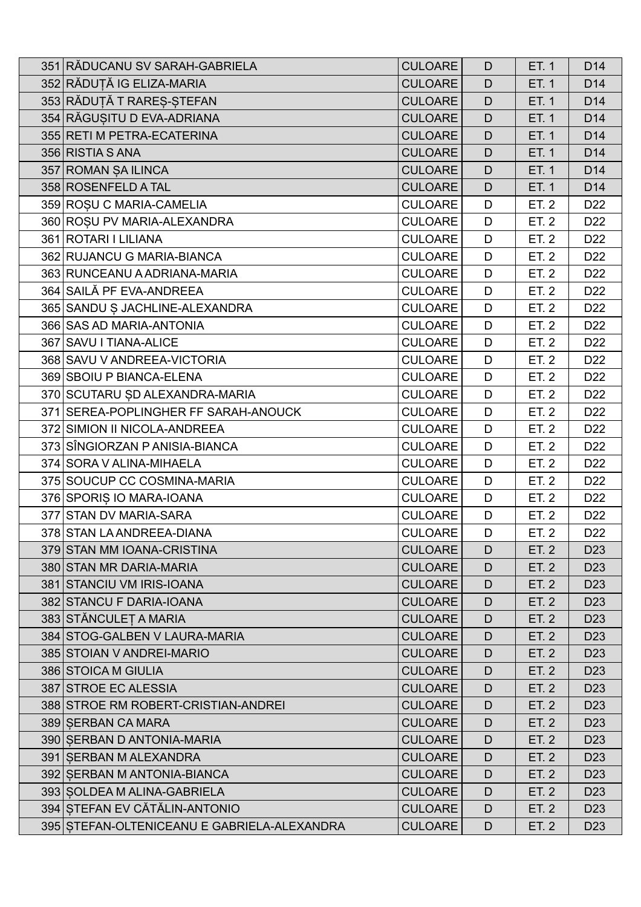| 351 RĂDUCANU SV SARAH-GABRIELA              | <b>CULOARE</b> | D            | ET. 1 | D <sub>14</sub> |
|---------------------------------------------|----------------|--------------|-------|-----------------|
| 352 RĂDUȚĂ IG ELIZA-MARIA                   | <b>CULOARE</b> | D            | ET. 1 | D <sub>14</sub> |
| 353 RĂDUȚĂ T RAREȘ-ȘTEFAN                   | <b>CULOARE</b> | $\mathsf{D}$ | ET. 1 | D <sub>14</sub> |
| 354 RĂGUȘITU D EVA-ADRIANA                  | <b>CULOARE</b> | D            | ET. 1 | D <sub>14</sub> |
| 355 RETI M PETRA-ECATERINA                  | <b>CULOARE</b> | D            | ET. 1 | D <sub>14</sub> |
| 356 RISTIA S ANA                            | <b>CULOARE</b> | D            | ET. 1 | D <sub>14</sub> |
| 357 ROMAN ȘA ILINCA                         | <b>CULOARE</b> | D            | ET. 1 | D <sub>14</sub> |
| 358 ROSENFELD A TAL                         | <b>CULOARE</b> | D            | ET. 1 | D <sub>14</sub> |
| 359 ROȘU C MARIA-CAMELIA                    | <b>CULOARE</b> | D            | ET. 2 | D <sub>22</sub> |
| 360 ROSU PV MARIA-ALEXANDRA                 | <b>CULOARE</b> | D            | ET. 2 | D <sub>22</sub> |
| 361 ROTARI I LILIANA                        | <b>CULOARE</b> | D            | ET. 2 | D <sub>22</sub> |
| 362 RUJANCU G MARIA-BIANCA                  | <b>CULOARE</b> | D            | ET. 2 | D <sub>22</sub> |
| 363 RUNCEANU A ADRIANA-MARIA                | <b>CULOARE</b> | D            | ET. 2 | D <sub>22</sub> |
| 364 SAILĂ PF EVA-ANDREEA                    | <b>CULOARE</b> | D            | ET. 2 | D <sub>22</sub> |
| 365 SANDU S JACHLINE-ALEXANDRA              | <b>CULOARE</b> | D            | ET. 2 | D <sub>22</sub> |
| 366 SAS AD MARIA-ANTONIA                    | <b>CULOARE</b> | D            | ET. 2 | D <sub>22</sub> |
| 367 SAVU I TIANA-ALICE                      | <b>CULOARE</b> | D            | ET. 2 | D <sub>22</sub> |
| 368 SAVU V ANDREEA-VICTORIA                 | <b>CULOARE</b> | D            | ET. 2 | D <sub>22</sub> |
| 369 SBOIU P BIANCA-ELENA                    | <b>CULOARE</b> | D            | ET. 2 | D <sub>22</sub> |
| 370 SCUTARU ȘD ALEXANDRA-MARIA              | <b>CULOARE</b> | D            | ET. 2 | D <sub>22</sub> |
| 371 SEREA-POPLINGHER FF SARAH-ANOUCK        | <b>CULOARE</b> | D            | ET. 2 | D <sub>22</sub> |
| 372 SIMION II NICOLA-ANDREEA                | <b>CULOARE</b> | D            | ET. 2 | D <sub>22</sub> |
| 373 SÎNGIORZAN P ANISIA-BIANCA              | <b>CULOARE</b> | D            | ET. 2 | D <sub>22</sub> |
| 374 SORA V ALINA-MIHAELA                    | <b>CULOARE</b> | D            | ET. 2 | D <sub>22</sub> |
| 375 SOUCUP CC COSMINA-MARIA                 | <b>CULOARE</b> | D            | ET. 2 | D <sub>22</sub> |
| 376 SPORIS IO MARA-IOANA                    | <b>CULOARE</b> | D            | ET. 2 | D <sub>22</sub> |
| 377 STAN DV MARIA-SARA                      | <b>CULOARE</b> | D            | ET. 2 | D <sub>22</sub> |
| 378 STAN LA ANDREEA-DIANA                   | <b>CULOARE</b> | D            | ET. 2 | D <sub>22</sub> |
| 379 STAN MM IOANA-CRISTINA                  | <b>CULOARE</b> | D            | ET. 2 | D <sub>23</sub> |
| 380 STAN MR DARIA-MARIA                     | <b>CULOARE</b> | D            | ET. 2 | D <sub>23</sub> |
| 381 STANCIU VM IRIS-IOANA                   | <b>CULOARE</b> | D            | ET. 2 | D <sub>23</sub> |
| 382 STANCU F DARIA-IOANA                    | <b>CULOARE</b> | D            | ET. 2 | D <sub>23</sub> |
| 383 STĂNCULEȚA MARIA                        | <b>CULOARE</b> | D            | ET. 2 | D <sub>23</sub> |
| 384 STOG-GALBEN V LAURA-MARIA               | <b>CULOARE</b> | D            | ET. 2 | D <sub>23</sub> |
| 385 STOIAN V ANDREI-MARIO                   | <b>CULOARE</b> | D            | ET. 2 | D <sub>23</sub> |
| 386 STOICA M GIULIA                         | <b>CULOARE</b> | D            | ET. 2 | D <sub>23</sub> |
| 387 STROE EC ALESSIA                        | <b>CULOARE</b> | D            | ET. 2 | D <sub>23</sub> |
| 388 STROE RM ROBERT-CRISTIAN-ANDREI         | <b>CULOARE</b> | D            | ET. 2 | D <sub>23</sub> |
| 389 SERBAN CA MARA                          | <b>CULOARE</b> | D            | ET. 2 | D <sub>23</sub> |
| 390 SERBAN D ANTONIA-MARIA                  | <b>CULOARE</b> | D            | ET. 2 | D <sub>23</sub> |
| 391 SERBAN M ALEXANDRA                      | <b>CULOARE</b> | D            | ET. 2 | D <sub>23</sub> |
| 392 SERBAN M ANTONIA-BIANCA                 | <b>CULOARE</b> | D            | ET. 2 | D <sub>23</sub> |
| 393 SOLDEA M ALINA-GABRIELA                 | <b>CULOARE</b> | D            | ET. 2 | D <sub>23</sub> |
| 394 STEFAN EV CĂTĂLIN-ANTONIO               | <b>CULOARE</b> | D            | ET. 2 | D <sub>23</sub> |
| 395 STEFAN-OLTENICEANU E GABRIELA-ALEXANDRA | <b>CULOARE</b> | D            | ET. 2 | D <sub>23</sub> |